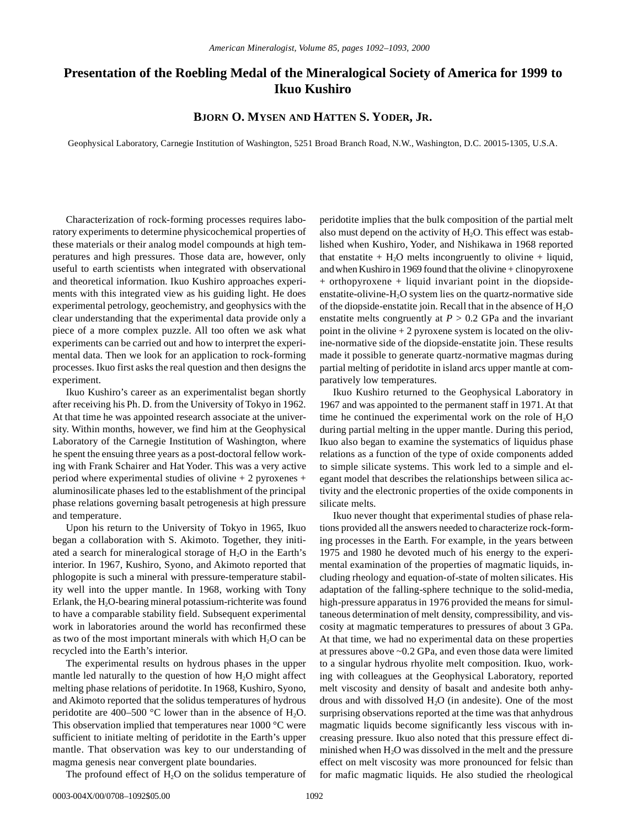## **Presentation of the Roebling Medal of the Mineralogical Society of America for 1999 to Ikuo Kushiro**

**BJORN O. MYSEN AND HATTEN S. YODER, JR.**

Geophysical Laboratory, Carnegie Institution of Washington, 5251 Broad Branch Road, N.W., Washington, D.C. 20015-1305, U.S.A.

Characterization of rock-forming processes requires laboratory experiments to determine physicochemical properties of these materials or their analog model compounds at high temperatures and high pressures. Those data are, however, only useful to earth scientists when integrated with observational and theoretical information. Ikuo Kushiro approaches experiments with this integrated view as his guiding light. He does experimental petrology, geochemistry, and geophysics with the clear understanding that the experimental data provide only a piece of a more complex puzzle. All too often we ask what experiments can be carried out and how to interpret the experimental data. Then we look for an application to rock-forming processes. Ikuo first asks the real question and then designs the experiment.

Ikuo Kushiro's career as an experimentalist began shortly after receiving his Ph. D. from the University of Tokyo in 1962. At that time he was appointed research associate at the university. Within months, however, we find him at the Geophysical Laboratory of the Carnegie Institution of Washington, where he spent the ensuing three years as a post-doctoral fellow working with Frank Schairer and Hat Yoder. This was a very active period where experimental studies of olivine + 2 pyroxenes + aluminosilicate phases led to the establishment of the principal phase relations governing basalt petrogenesis at high pressure and temperature.

Upon his return to the University of Tokyo in 1965, Ikuo began a collaboration with S. Akimoto. Together, they initiated a search for mineralogical storage of  $H<sub>2</sub>O$  in the Earth's interior. In 1967, Kushiro, Syono, and Akimoto reported that phlogopite is such a mineral with pressure-temperature stability well into the upper mantle. In 1968, working with Tony Erlank, the H<sub>2</sub>O-bearing mineral potassium-richterite was found to have a comparable stability field. Subsequent experimental work in laboratories around the world has reconfirmed these as two of the most important minerals with which  $H_2O$  can be recycled into the Earth's interior.

The experimental results on hydrous phases in the upper mantle led naturally to the question of how  $H_2O$  might affect melting phase relations of peridotite. In 1968, Kushiro, Syono, and Akimoto reported that the solidus temperatures of hydrous peridotite are 400–500 °C lower than in the absence of  $H_2O$ . This observation implied that temperatures near 1000 °C were sufficient to initiate melting of peridotite in the Earth's upper mantle. That observation was key to our understanding of magma genesis near convergent plate boundaries.

The profound effect of  $H_2O$  on the solidus temperature of

peridotite implies that the bulk composition of the partial melt also must depend on the activity of  $H_2O$ . This effect was established when Kushiro, Yoder, and Nishikawa in 1968 reported that enstatite  $+ H_2O$  melts incongruently to olivine  $+$  liquid, and when Kushiro in 1969 found that the olivine + clinopyroxene + orthopyroxene + liquid invariant point in the diopsideenstatite-olivine- $H_2O$  system lies on the quartz-normative side of the diopside-enstatite join. Recall that in the absence of  $H_2O$ enstatite melts congruently at  $P > 0.2$  GPa and the invariant point in the olivine + 2 pyroxene system is located on the olivine-normative side of the diopside-enstatite join. These results made it possible to generate quartz-normative magmas during partial melting of peridotite in island arcs upper mantle at comparatively low temperatures.

Ikuo Kushiro returned to the Geophysical Laboratory in 1967 and was appointed to the permanent staff in 1971. At that time he continued the experimental work on the role of  $H_2O$ during partial melting in the upper mantle. During this period, Ikuo also began to examine the systematics of liquidus phase relations as a function of the type of oxide components added to simple silicate systems. This work led to a simple and elegant model that describes the relationships between silica activity and the electronic properties of the oxide components in silicate melts.

Ikuo never thought that experimental studies of phase relations provided all the answers needed to characterize rock-forming processes in the Earth. For example, in the years between 1975 and 1980 he devoted much of his energy to the experimental examination of the properties of magmatic liquids, including rheology and equation-of-state of molten silicates. His adaptation of the falling-sphere technique to the solid-media, high-pressure apparatus in 1976 provided the means for simultaneous determination of melt density, compressibility, and viscosity at magmatic temperatures to pressures of about 3 GPa. At that time, we had no experimental data on these properties at pressures above ~0.2 GPa, and even those data were limited to a singular hydrous rhyolite melt composition. Ikuo, working with colleagues at the Geophysical Laboratory, reported melt viscosity and density of basalt and andesite both anhydrous and with dissolved  $H_2O$  (in andesite). One of the most surprising observations reported at the time was that anhydrous magmatic liquids become significantly less viscous with increasing pressure. Ikuo also noted that this pressure effect diminished when  $H_2O$  was dissolved in the melt and the pressure effect on melt viscosity was more pronounced for felsic than for mafic magmatic liquids. He also studied the rheological